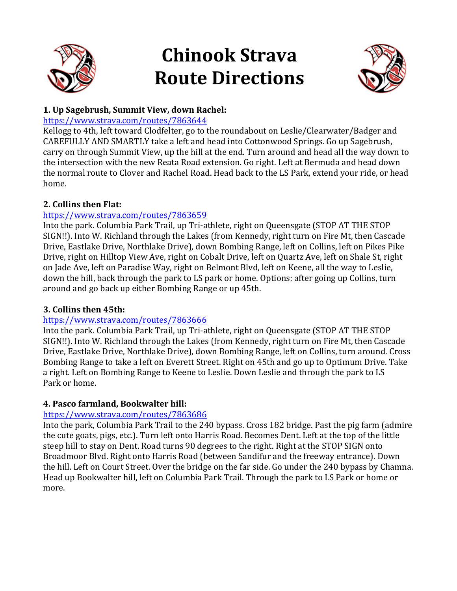

# **Chinook Strava Route Directions**



# **1. Up Sagebrush, Summit View, down Rachel:**

## https://www.strava.com/routes/7863644

Kellogg to 4th, left toward Clodfelter, go to the roundabout on Leslie/Clearwater/Badger and CAREFULLY AND SMARTLY take a left and head into Cottonwood Springs. Go up Sagebrush, carry on through Summit View, up the hill at the end. Turn around and head all the way down to the intersection with the new Reata Road extension. Go right. Left at Bermuda and head down the normal route to Clover and Rachel Road. Head back to the LS Park, extend your ride, or head home.

# **2. Collins then Flat:**

# https://www.strava.com/routes/7863659

Into the park. Columbia Park Trail, up Tri-athlete, right on Queensgate (STOP AT THE STOP SIGN!!). Into W. Richland through the Lakes (from Kennedy, right turn on Fire Mt, then Cascade Drive, Eastlake Drive, Northlake Drive), down Bombing Range, left on Collins, left on Pikes Pike Drive, right on Hilltop View Ave, right on Cobalt Drive, left on Quartz Ave, left on Shale St, right on Jade Ave, left on Paradise Way, right on Belmont Blvd, left on Keene, all the way to Leslie, down the hill, back through the park to LS park or home. Options: after going up Collins, turn around and go back up either Bombing Range or up 45th.

# **3. Collins then 45th:**

# https://www.strava.com/routes/7863666

Into the park. Columbia Park Trail, up Tri-athlete, right on Queensgate (STOP AT THE STOP SIGN!!). Into W. Richland through the Lakes (from Kennedy, right turn on Fire Mt, then Cascade Drive, Eastlake Drive, Northlake Drive), down Bombing Range, left on Collins, turn around. Cross Bombing Range to take a left on Everett Street. Right on 45th and go up to Optimum Drive. Take a right. Left on Bombing Range to Keene to Leslie. Down Leslie and through the park to LS Park or home.

# **4. Pasco farmland, Bookwalter hill:**

# https://www.strava.com/routes/7863686

Into the park, Columbia Park Trail to the 240 bypass. Cross 182 bridge. Past the pig farm (admire the cute goats, pigs, etc.). Turn left onto Harris Road. Becomes Dent. Left at the top of the little steep hill to stay on Dent. Road turns 90 degrees to the right. Right at the STOP SIGN onto Broadmoor Blvd. Right onto Harris Road (between Sandifur and the freeway entrance). Down the hill. Left on Court Street. Over the bridge on the far side. Go under the 240 bypass by Chamna. Head up Bookwalter hill, left on Columbia Park Trail. Through the park to LS Park or home or more.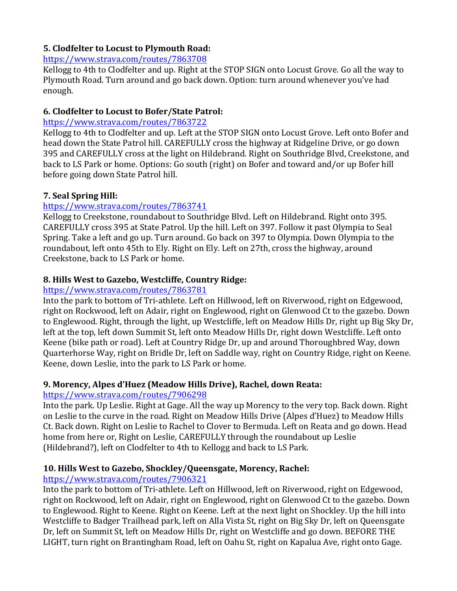## **5. Clodfelter to Locust to Plymouth Road:**

#### https://www.strava.com/routes/7863708

Kellogg to 4th to Clodfelter and up. Right at the STOP SIGN onto Locust Grove. Go all the way to Plymouth Road. Turn around and go back down. Option: turn around whenever you've had enough.

## **6. Clodfelter to Locust to Bofer/State Patrol:**

#### https://www.strava.com/routes/7863722

Kellogg to 4th to Clodfelter and up. Left at the STOP SIGN onto Locust Grove. Left onto Bofer and head down the State Patrol hill. CAREFULLY cross the highway at Ridgeline Drive, or go down 395 and CAREFULLY cross at the light on Hildebrand. Right on Southridge Blvd, Creekstone, and back to LS Park or home. Options: Go south (right) on Bofer and toward and/or up Bofer hill before going down State Patrol hill.

#### **7. Seal Spring Hill:**

## https://www.strava.com/routes/7863741

Kellogg to Creekstone, roundabout to Southridge Blyd. Left on Hildebrand. Right onto 395. CAREFULLY cross 395 at State Patrol. Up the hill. Left on 397. Follow it past Olympia to Seal Spring. Take a left and go up. Turn around. Go back on 397 to Olympia. Down Olympia to the roundabout, left onto 45th to Ely. Right on Ely. Left on 27th, cross the highway, around Creekstone, back to LS Park or home.

## **8. Hills West to Gazebo, Westcliffe, Country Ridge:**

## https://www.strava.com/routes/7863781

Into the park to bottom of Tri-athlete. Left on Hillwood, left on Riverwood, right on Edgewood, right on Rockwood, left on Adair, right on Englewood, right on Glenwood Ct to the gazebo. Down to Englewood. Right, through the light, up Westcliffe, left on Meadow Hills Dr, right up Big Sky Dr, left at the top, left down Summit St, left onto Meadow Hills Dr, right down Westcliffe. Left onto Keene (bike path or road). Left at Country Ridge Dr, up and around Thoroughbred Way, down Quarterhorse Way, right on Bridle Dr, left on Saddle way, right on Country Ridge, right on Keene. Keene, down Leslie, into the park to LS Park or home.

## 9. Morency, Alpes d'Huez (Meadow Hills Drive), Rachel, down Reata:

## https://www.strava.com/routes/7906298

Into the park. Up Leslie. Right at Gage. All the way up Morency to the very top. Back down. Right on Leslie to the curve in the road. Right on Meadow Hills Drive (Alpes d'Huez) to Meadow Hills Ct. Back down. Right on Leslie to Rachel to Clover to Bermuda. Left on Reata and go down. Head home from here or, Right on Leslie, CAREFULLY through the roundabout up Leslie (Hildebrand?), left on Clodfelter to 4th to Kellogg and back to LS Park.

## 10. Hills West to Gazebo, Shockley/Queensgate, Morency, Rachel:

## https://www.strava.com/routes/7906321

Into the park to bottom of Tri-athlete. Left on Hillwood, left on Riverwood, right on Edgewood, right on Rockwood, left on Adair, right on Englewood, right on Glenwood Ct to the gazebo. Down to Englewood. Right to Keene. Right on Keene. Left at the next light on Shockley. Up the hill into Westcliffe to Badger Trailhead park, left on Alla Vista St, right on Big Sky Dr, left on Queensgate Dr, left on Summit St, left on Meadow Hills Dr, right on Westcliffe and go down. BEFORE THE LIGHT, turn right on Brantingham Road, left on Oahu St, right on Kapalua Ave, right onto Gage.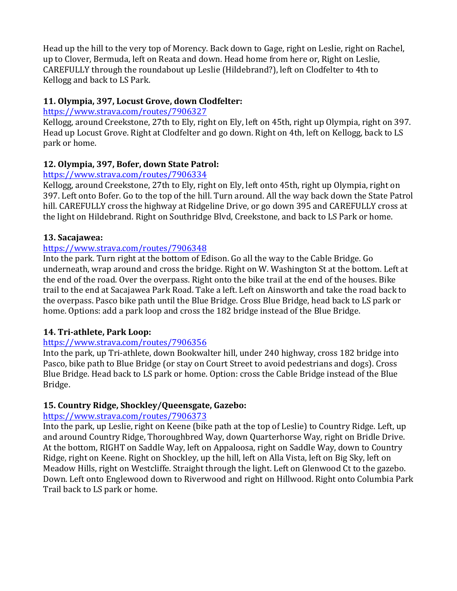Head up the hill to the very top of Morency. Back down to Gage, right on Leslie, right on Rachel, up to Clover, Bermuda, left on Reata and down. Head home from here or, Right on Leslie, CAREFULLY through the roundabout up Leslie (Hildebrand?), left on Clodfelter to 4th to Kellogg and back to LS Park.

# 11. Olympia, 397, Locust Grove, down Clodfelter:

## https://www.strava.com/routes/7906327

Kellogg, around Creekstone, 27th to Ely, right on Ely, left on 45th, right up Olympia, right on 397. Head up Locust Grove. Right at Clodfelter and go down. Right on 4th, left on Kellogg, back to LS park or home.

# 12. Olympia, 397, Bofer, down State Patrol:

## https://www.strava.com/routes/7906334

Kellogg, around Creekstone, 27th to Ely, right on Ely, left onto 45th, right up Olympia, right on 397. Left onto Bofer. Go to the top of the hill. Turn around. All the way back down the State Patrol hill. CAREFULLY cross the highway at Ridgeline Drive, or go down 395 and CAREFULLY cross at the light on Hildebrand. Right on Southridge Blvd, Creekstone, and back to LS Park or home.

## **13. Sacajawea:**

## https://www.strava.com/routes/7906348

Into the park. Turn right at the bottom of Edison. Go all the way to the Cable Bridge. Go underneath, wrap around and cross the bridge. Right on W. Washington St at the bottom. Left at the end of the road. Over the overpass. Right onto the bike trail at the end of the houses. Bike trail to the end at Sacajawea Park Road. Take a left. Left on Ainsworth and take the road back to the overpass. Pasco bike path until the Blue Bridge. Cross Blue Bridge, head back to LS park or home. Options: add a park loop and cross the 182 bridge instead of the Blue Bridge.

## 14. Tri-athlete, Park Loop:

## https://www.strava.com/routes/7906356

Into the park, up Tri-athlete, down Bookwalter hill, under 240 highway, cross 182 bridge into Pasco, bike path to Blue Bridge (or stay on Court Street to avoid pedestrians and dogs). Cross Blue Bridge. Head back to LS park or home. Option: cross the Cable Bridge instead of the Blue Bridge.

## **15. Country Ridge, Shockley/Queensgate, Gazebo:**

## https://www.strava.com/routes/7906373

Into the park, up Leslie, right on Keene (bike path at the top of Leslie) to Country Ridge. Left, up and around Country Ridge, Thoroughbred Way, down Quarterhorse Way, right on Bridle Drive. At the bottom, RIGHT on Saddle Way, left on Appaloosa, right on Saddle Way, down to Country Ridge, right on Keene. Right on Shockley, up the hill, left on Alla Vista, left on Big Sky, left on Meadow Hills, right on Westcliffe. Straight through the light. Left on Glenwood Ct to the gazebo. Down. Left onto Englewood down to Riverwood and right on Hillwood. Right onto Columbia Park Trail back to LS park or home.